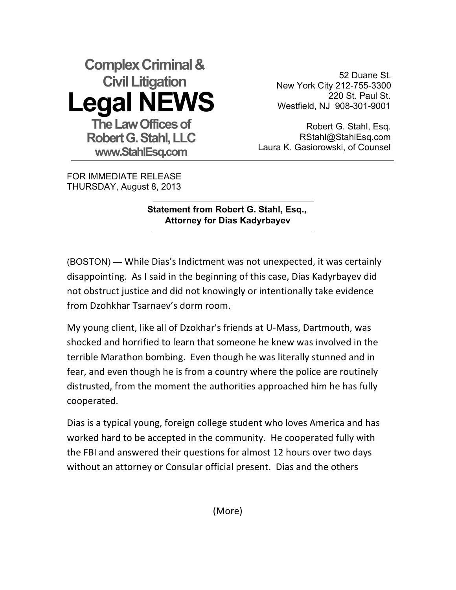## **Complex Criminal & Civil Litigation Legal NEWS The Law Offices of Robert G. Stahl, LLC www.StahlEsq.com**

52 Duane St. New York City 212-755-3300 220 St. Paul St. Westfield, NJ 908-301-9001

Robert G. Stahl, Esq. RStahl@StahlEsq.com Laura K. Gasiorowski, of Counsel

FOR IMMEDIATE RELEASE THURSDAY, August 8, 2013

## **Statement from Robert G. Stahl, Esq., Attorney for Dias Kadyrbayev**

(BOSTON) — While Dias's Indictment was not unexpected, it was certainly disappointing. As I said in the beginning of this case, Dias Kadyrbayev did not obstruct justice and did not knowingly or intentionally take evidence from Dzohkhar Tsarnaey's dorm room.

My young client, like all of Dzokhar's friends at U-Mass, Dartmouth, was shocked and horrified to learn that someone he knew was involved in the terrible Marathon bombing. Even though he was literally stunned and in fear, and even though he is from a country where the police are routinely distrusted, from the moment the authorities approached him he has fully cooperated.

Dias is a typical young, foreign college student who loves America and has worked hard to be accepted in the community. He cooperated fully with the FBI and answered their questions for almost 12 hours over two days without an attorney or Consular official present. Dias and the others

(More)